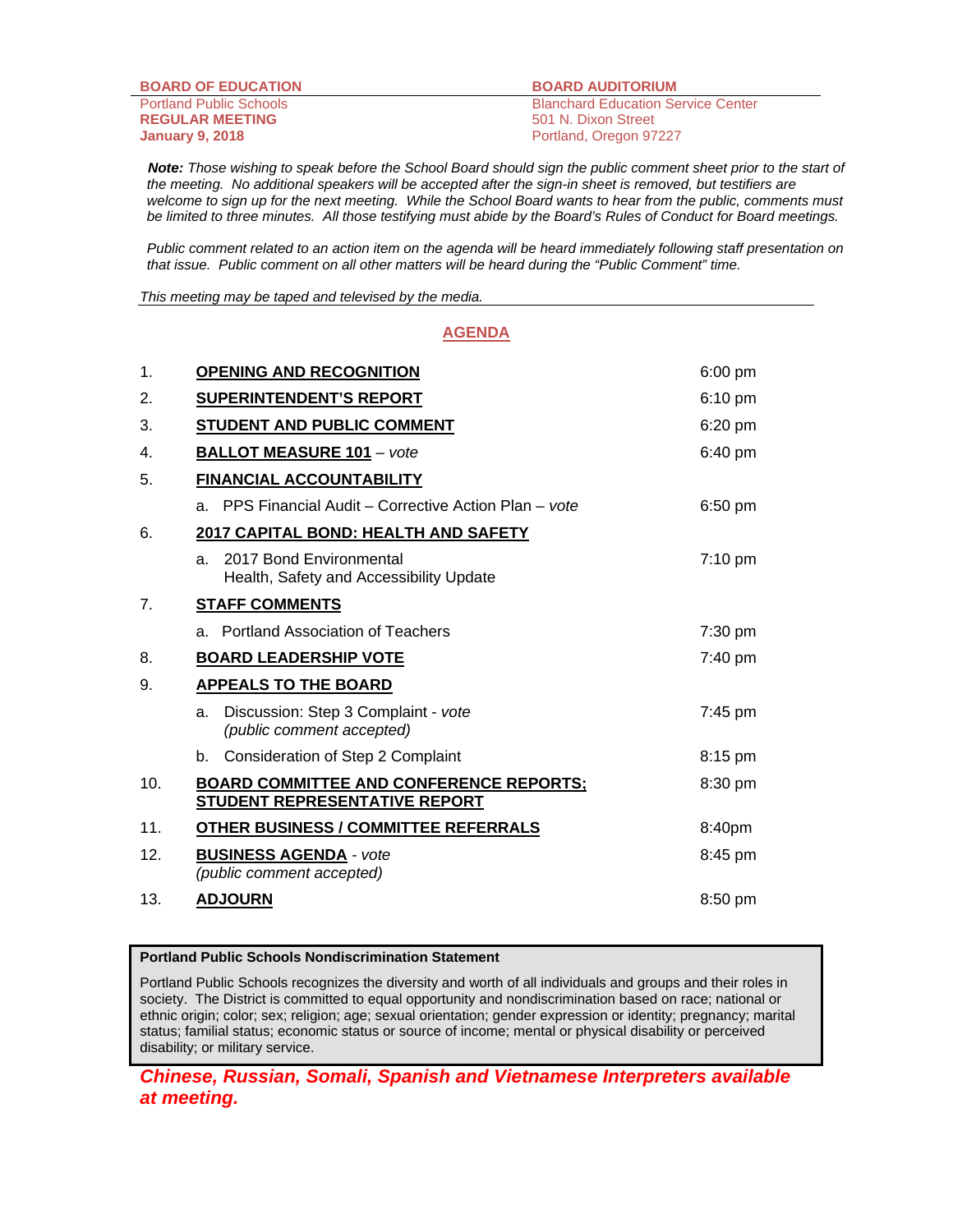**BOARD OF EDUCATION BOARD AUDITORIUM REGULAR MEETING** 501 N. Dixon Street **January 9, 2018 Portland, Oregon 97227** 

Portland Public Schools Blanchard Education Service Center

 *Note: Those wishing to speak before the School Board should sign the public comment sheet prior to the start of the meeting. No additional speakers will be accepted after the sign-in sheet is removed, but testifiers are*  welcome to sign up for the next meeting. While the School Board wants to hear from the public, comments must *be limited to three minutes. All those testifying must abide by the Board's Rules of Conduct for Board meetings.* 

 *Public comment related to an action item on the agenda will be heard immediately following staff presentation on that issue. Public comment on all other matters will be heard during the "Public Comment" time.* 

*This meeting may be taped and televised by the media.* 

#### **AGENDA**

| $\mathbf 1$ . | <b>OPENING AND RECOGNITION</b>                                                         | 6:00 pm           |
|---------------|----------------------------------------------------------------------------------------|-------------------|
| 2.            | <b>SUPERINTENDENT'S REPORT</b>                                                         | 6:10 pm           |
| 3.            | <b>STUDENT AND PUBLIC COMMENT</b>                                                      | 6:20 pm           |
| 4.            | <b>BALLOT MEASURE 101 - vote</b>                                                       | $6:40 \text{ pm}$ |
| 5.            | <b>FINANCIAL ACCOUNTABILITY</b>                                                        |                   |
|               | PPS Financial Audit - Corrective Action Plan - vote<br>a.                              | 6:50 pm           |
| 6.            | 2017 CAPITAL BOND: HEALTH AND SAFETY                                                   |                   |
|               | 2017 Bond Environmental<br>a.<br>Health, Safety and Accessibility Update               | $7:10$ pm         |
| 7.            | <b>STAFF COMMENTS</b>                                                                  |                   |
|               | a. Portland Association of Teachers                                                    | $7:30$ pm         |
| 8.            | <b>BOARD LEADERSHIP VOTE</b>                                                           | 7:40 pm           |
| 9.            | <b>APPEALS TO THE BOARD</b>                                                            |                   |
|               | Discussion: Step 3 Complaint - vote<br>a.<br>(public comment accepted)                 | 7:45 pm           |
|               | Consideration of Step 2 Complaint<br>b.                                                | 8:15 pm           |
| 10.           | <b>BOARD COMMITTEE AND CONFERENCE REPORTS;</b><br><b>STUDENT REPRESENTATIVE REPORT</b> | 8:30 pm           |
| 11.           | <b>OTHER BUSINESS / COMMITTEE REFERRALS</b>                                            | 8:40pm            |
| 12.           | <b>BUSINESS AGENDA - vote</b><br>(public comment accepted)                             | 8:45 pm           |
| 13.           | <b>ADJOURN</b>                                                                         | 8:50 pm           |

#### **Portland Public Schools Nondiscrimination Statement**

Portland Public Schools recognizes the diversity and worth of all individuals and groups and their roles in society. The District is committed to equal opportunity and nondiscrimination based on race; national or ethnic origin; color; sex; religion; age; sexual orientation; gender expression or identity; pregnancy; marital status; familial status; economic status or source of income; mental or physical disability or perceived disability; or military service.

*Chinese, Russian, Somali, Spanish and Vietnamese Interpreters available at meeting.*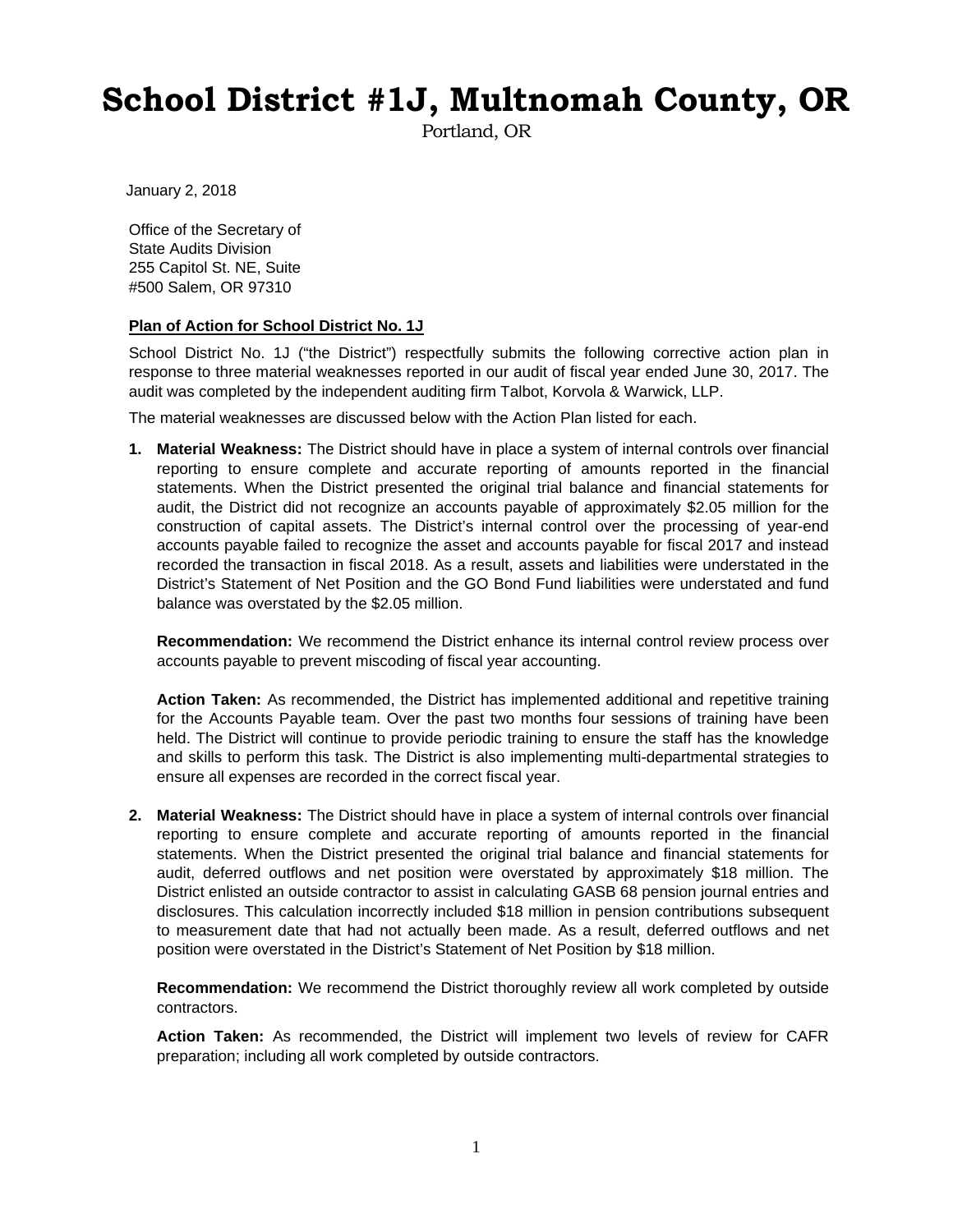# **School District #1J, Multnomah County, OR**

Portland, OR

January 2, 2018

Office of the Secretary of State Audits Division 255 Capitol St. NE, Suite #500 Salem, OR 97310

#### **Plan of Action for School District No. 1J**

School District No. 1J ("the District") respectfully submits the following corrective action plan in response to three material weaknesses reported in our audit of fiscal year ended June 30, 2017. The audit was completed by the independent auditing firm Talbot, Korvola & Warwick, LLP.

The material weaknesses are discussed below with the Action Plan listed for each.

**1. Material Weakness:** The District should have in place a system of internal controls over financial reporting to ensure complete and accurate reporting of amounts reported in the financial statements. When the District presented the original trial balance and financial statements for audit, the District did not recognize an accounts payable of approximately \$2.05 million for the construction of capital assets. The District's internal control over the processing of year-end accounts payable failed to recognize the asset and accounts payable for fiscal 2017 and instead recorded the transaction in fiscal 2018. As a result, assets and liabilities were understated in the District's Statement of Net Position and the GO Bond Fund liabilities were understated and fund balance was overstated by the \$2.05 million.

**Recommendation:** We recommend the District enhance its internal control review process over accounts payable to prevent miscoding of fiscal year accounting.

**Action Taken:** As recommended, the District has implemented additional and repetitive training for the Accounts Payable team. Over the past two months four sessions of training have been held. The District will continue to provide periodic training to ensure the staff has the knowledge and skills to perform this task. The District is also implementing multi-departmental strategies to ensure all expenses are recorded in the correct fiscal year.

**2. Material Weakness:** The District should have in place a system of internal controls over financial reporting to ensure complete and accurate reporting of amounts reported in the financial statements. When the District presented the original trial balance and financial statements for audit, deferred outflows and net position were overstated by approximately \$18 million. The District enlisted an outside contractor to assist in calculating GASB 68 pension journal entries and disclosures. This calculation incorrectly included \$18 million in pension contributions subsequent to measurement date that had not actually been made. As a result, deferred outflows and net position were overstated in the District's Statement of Net Position by \$18 million.

**Recommendation:** We recommend the District thoroughly review all work completed by outside contractors.

**Action Taken:** As recommended, the District will implement two levels of review for CAFR preparation; including all work completed by outside contractors.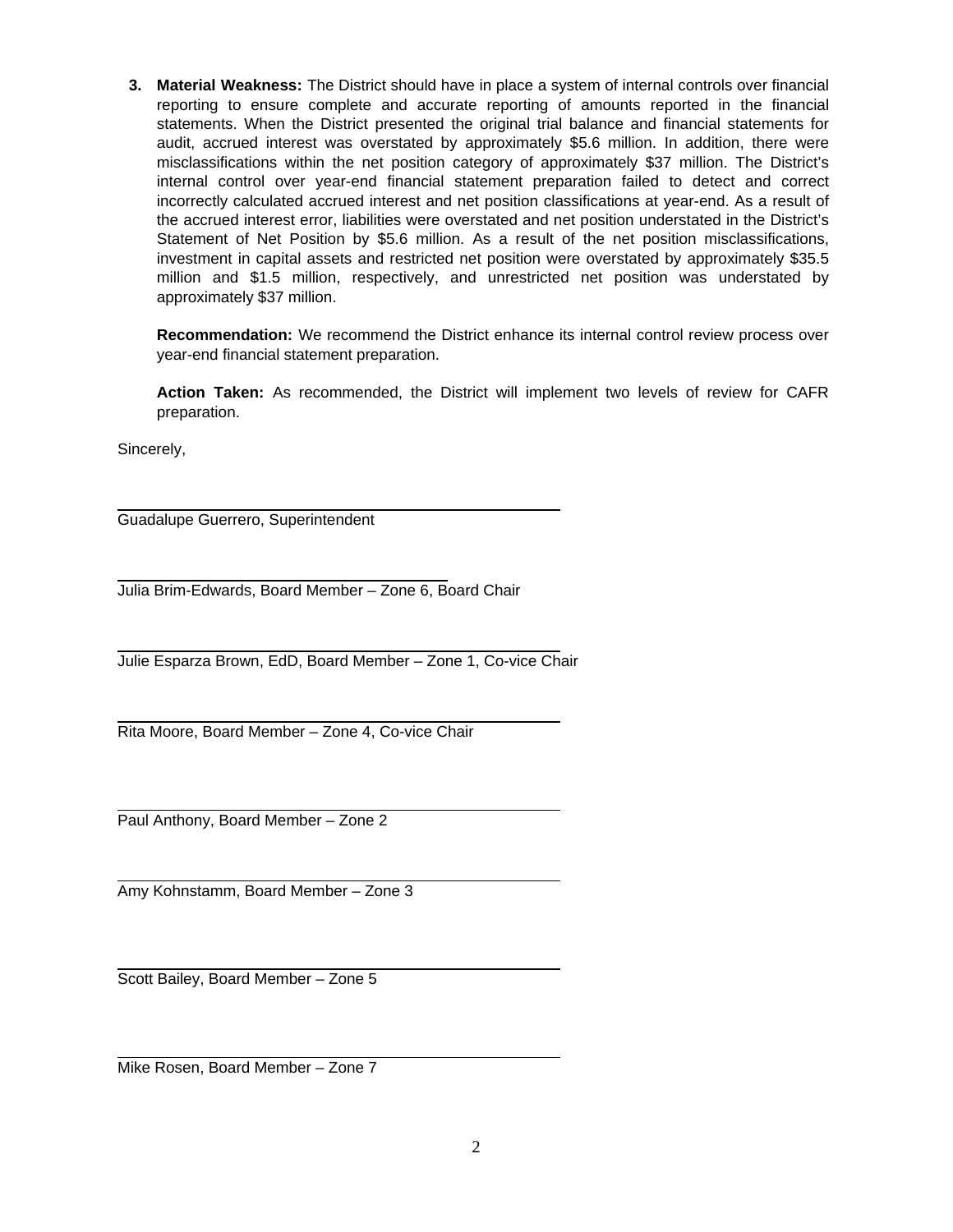**3. Material Weakness:** The District should have in place a system of internal controls over financial reporting to ensure complete and accurate reporting of amounts reported in the financial statements. When the District presented the original trial balance and financial statements for audit, accrued interest was overstated by approximately \$5.6 million. In addition, there were misclassifications within the net position category of approximately \$37 million. The District's internal control over year-end financial statement preparation failed to detect and correct incorrectly calculated accrued interest and net position classifications at year-end. As a result of the accrued interest error, liabilities were overstated and net position understated in the District's Statement of Net Position by \$5.6 million. As a result of the net position misclassifications, investment in capital assets and restricted net position were overstated by approximately \$35.5 million and \$1.5 million, respectively, and unrestricted net position was understated by approximately \$37 million.

**Recommendation:** We recommend the District enhance its internal control review process over year-end financial statement preparation.

**Action Taken:** As recommended, the District will implement two levels of review for CAFR preparation.

Sincerely,

 Guadalupe Guerrero, Superintendent

 Julia Brim-Edwards, Board Member – Zone 6, Board Chair

 Julie Esparza Brown, EdD, Board Member – Zone 1, Co-vice Chair

 Rita Moore, Board Member – Zone 4, Co-vice Chair

 Paul Anthony, Board Member – Zone 2

Amy Kohnstamm, Board Member – Zone 3

 Scott Bailey, Board Member – Zone 5

Mike Rosen, Board Member – Zone 7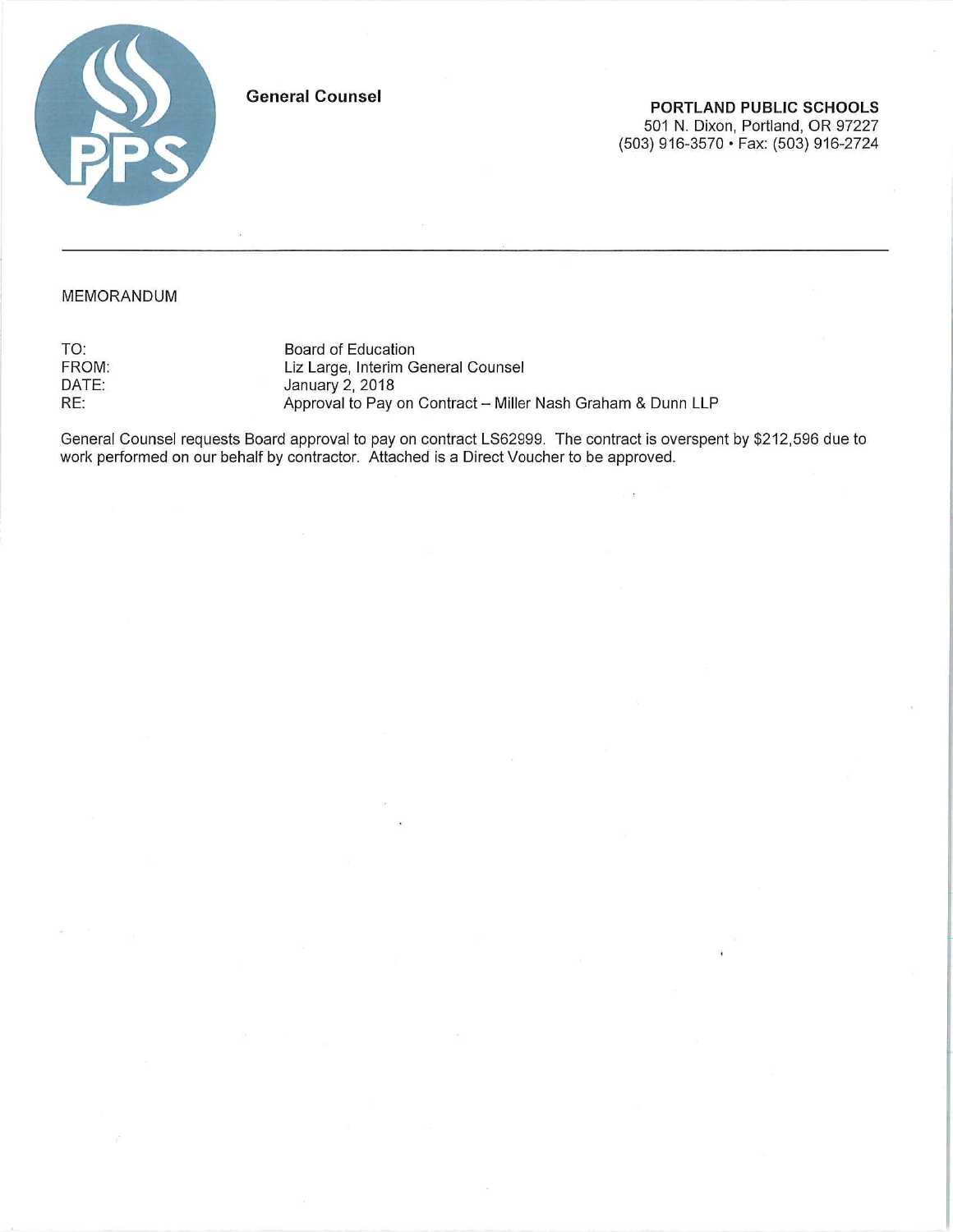

**General Counsel** 

PORTLAND PUBLIC SCHOOLS 501 N. Dixon, Portland, OR 97227 (503) 916-3570 · Fax: (503) 916-2724

#### MEMORANDUM

TO: FROM: DATE: RE:

Board of Education Liz Large, Interim General Counsel January 2, 2018 Approval to Pay on Contract - Miller Nash Graham & Dunn LLP

General Counsel requests Board approval to pay on contract LS62999. The contract is overspent by \$212,596 due to<br>work performed on our behalf by contractor. Attached is a Direct Voucher to be approved.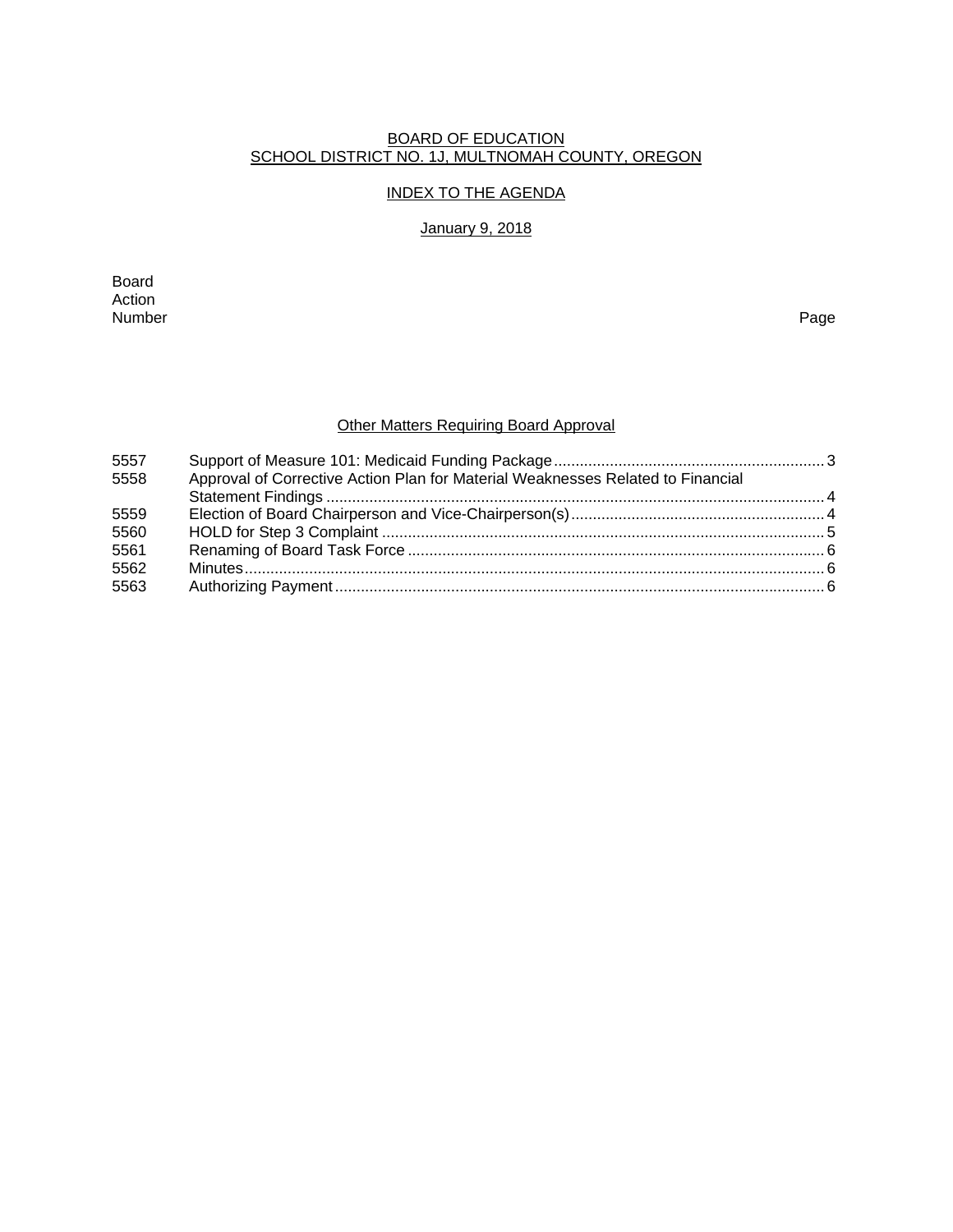#### BOARD OF EDUCATION SCHOOL DISTRICT NO. 1J, MULTNOMAH COUNTY, OREGON

# INDEX TO THE AGENDA

### January 9, 2018

Board Action<br>Number Number Page

# Other Matters Requiring Board Approval

| 5557 |                                                                                 |  |
|------|---------------------------------------------------------------------------------|--|
| 5558 | Approval of Corrective Action Plan for Material Weaknesses Related to Financial |  |
|      |                                                                                 |  |
| 5559 |                                                                                 |  |
| 5560 |                                                                                 |  |
| 5561 |                                                                                 |  |
| 5562 |                                                                                 |  |
| 5563 |                                                                                 |  |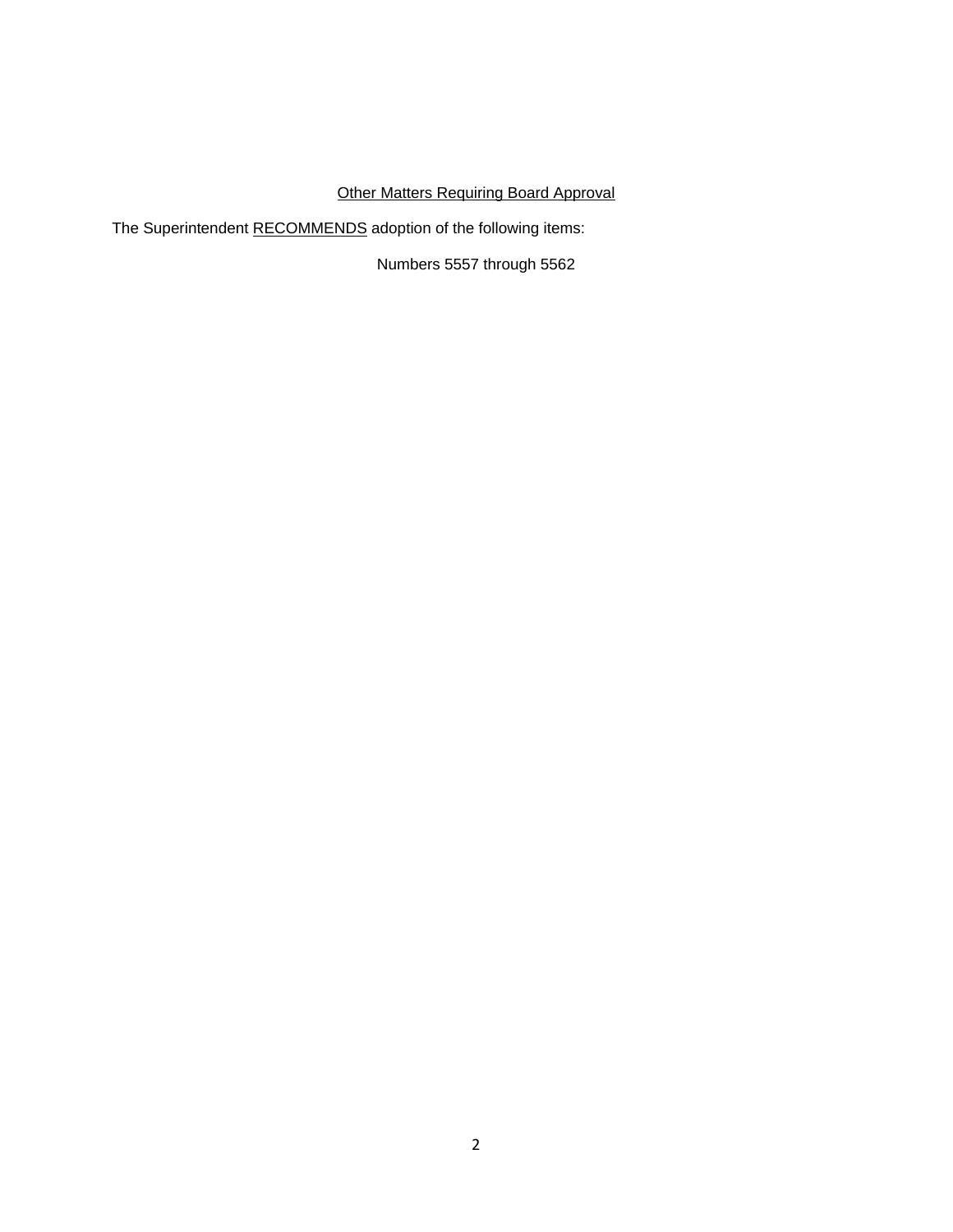# **Other Matters Requiring Board Approval**

The Superintendent RECOMMENDS adoption of the following items:

Numbers 5557 through 5562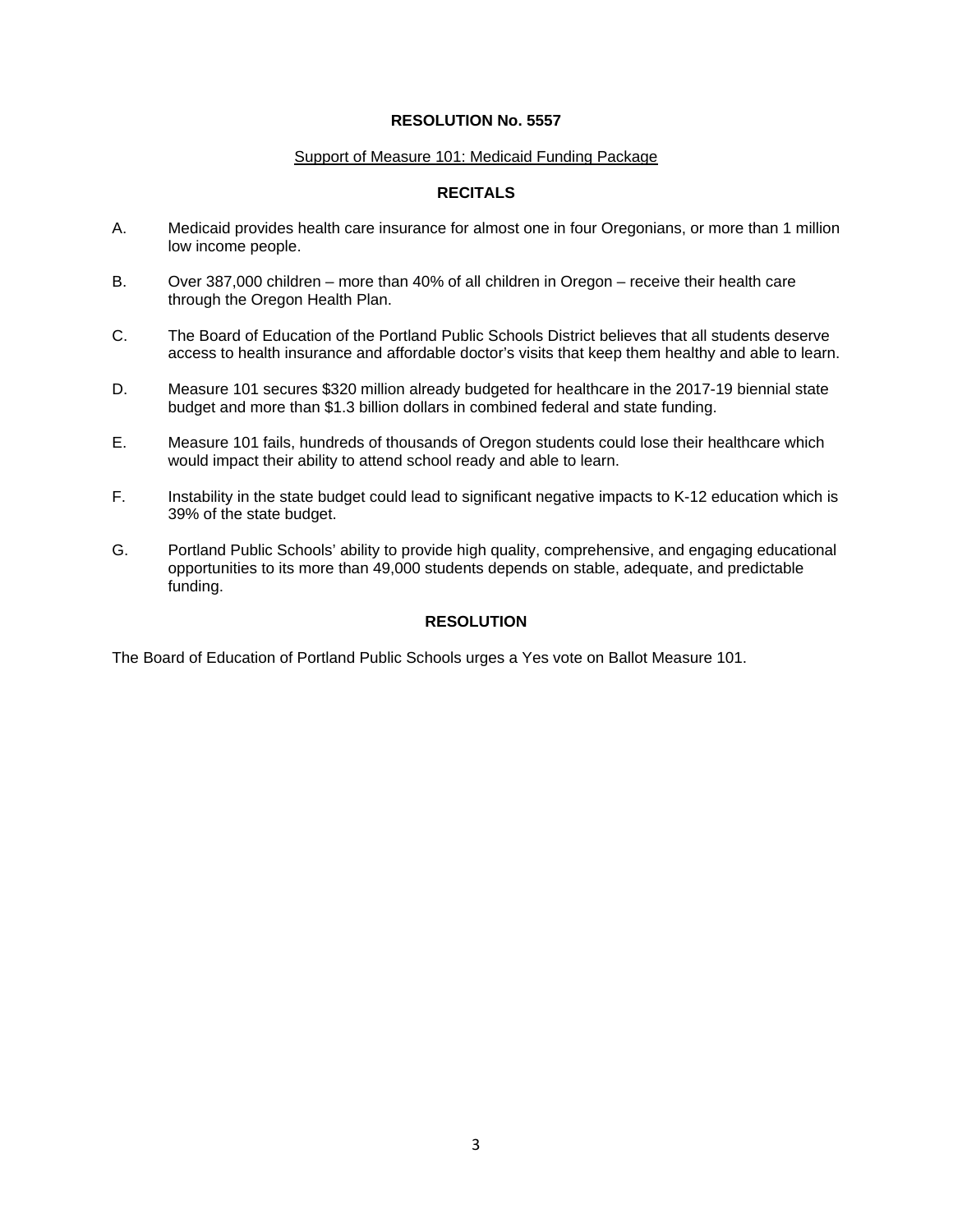#### Support of Measure 101: Medicaid Funding Package

## **RECITALS**

- A. Medicaid provides health care insurance for almost one in four Oregonians, or more than 1 million low income people.
- B. Over 387,000 children more than 40% of all children in Oregon receive their health care through the Oregon Health Plan.
- C. The Board of Education of the Portland Public Schools District believes that all students deserve access to health insurance and affordable doctor's visits that keep them healthy and able to learn.
- D. Measure 101 secures \$320 million already budgeted for healthcare in the 2017-19 biennial state budget and more than \$1.3 billion dollars in combined federal and state funding.
- E. Measure 101 fails, hundreds of thousands of Oregon students could lose their healthcare which would impact their ability to attend school ready and able to learn.
- F. Instability in the state budget could lead to significant negative impacts to K-12 education which is 39% of the state budget.
- G. Portland Public Schools' ability to provide high quality, comprehensive, and engaging educational opportunities to its more than 49,000 students depends on stable, adequate, and predictable funding.

#### **RESOLUTION**

The Board of Education of Portland Public Schools urges a Yes vote on Ballot Measure 101.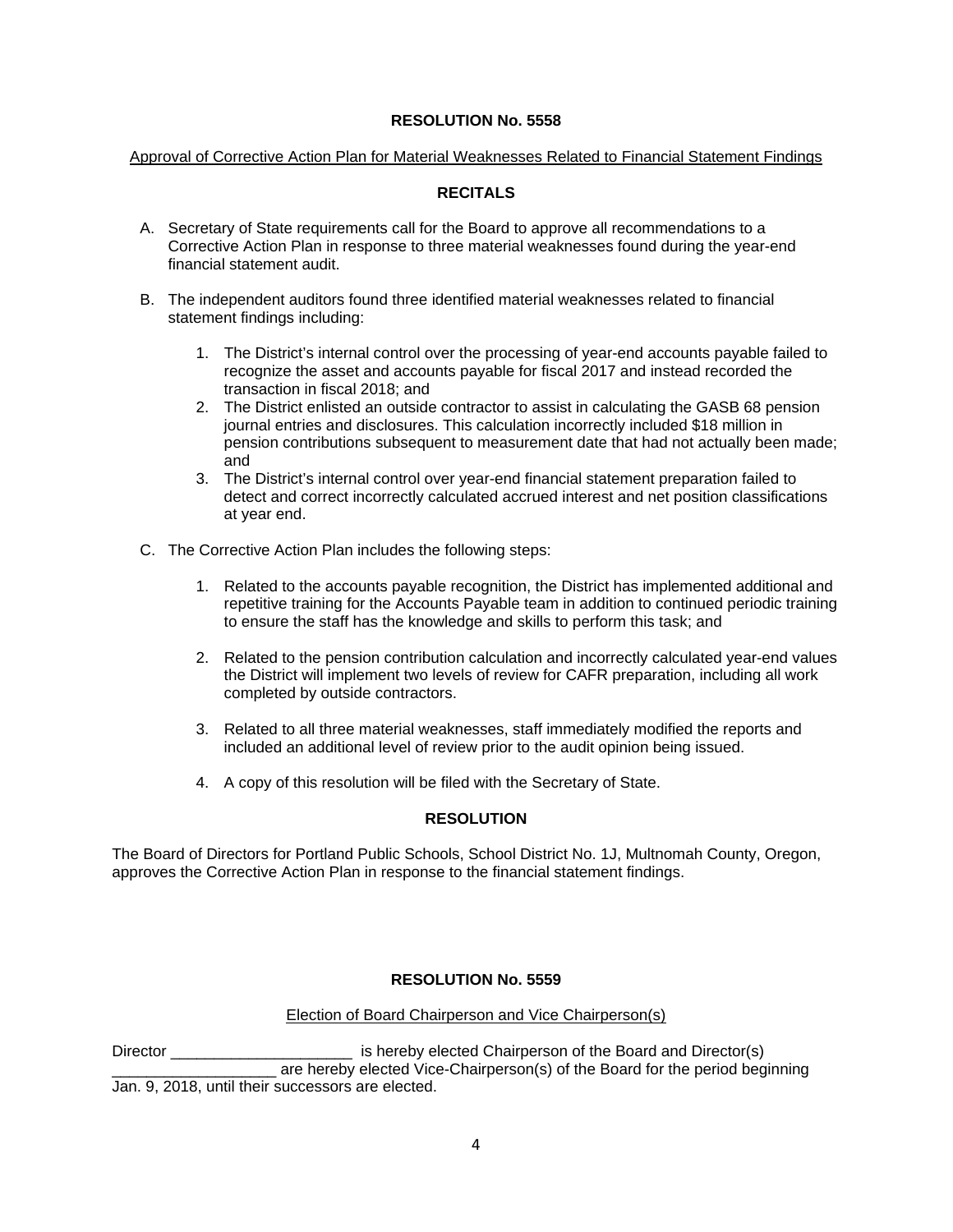#### Approval of Corrective Action Plan for Material Weaknesses Related to Financial Statement Findings

# **RECITALS**

- A. Secretary of State requirements call for the Board to approve all recommendations to a Corrective Action Plan in response to three material weaknesses found during the year-end financial statement audit.
- B. The independent auditors found three identified material weaknesses related to financial statement findings including:
	- 1. The District's internal control over the processing of year-end accounts payable failed to recognize the asset and accounts payable for fiscal 2017 and instead recorded the transaction in fiscal 2018; and
	- 2. The District enlisted an outside contractor to assist in calculating the GASB 68 pension journal entries and disclosures. This calculation incorrectly included \$18 million in pension contributions subsequent to measurement date that had not actually been made; and
	- 3. The District's internal control over year-end financial statement preparation failed to detect and correct incorrectly calculated accrued interest and net position classifications at year end.
- C. The Corrective Action Plan includes the following steps:
	- 1. Related to the accounts payable recognition, the District has implemented additional and repetitive training for the Accounts Payable team in addition to continued periodic training to ensure the staff has the knowledge and skills to perform this task; and
	- 2. Related to the pension contribution calculation and incorrectly calculated year-end values the District will implement two levels of review for CAFR preparation, including all work completed by outside contractors.
	- 3. Related to all three material weaknesses, staff immediately modified the reports and included an additional level of review prior to the audit opinion being issued.
	- 4. A copy of this resolution will be filed with the Secretary of State.

#### **RESOLUTION**

The Board of Directors for Portland Public Schools, School District No. 1J, Multnomah County, Oregon, approves the Corrective Action Plan in response to the financial statement findings.

#### **RESOLUTION No. 5559**

#### Election of Board Chairperson and Vice Chairperson(s)

Director **Example 2** is hereby elected Chairperson of the Board and Director(s) \_\_\_\_\_ are hereby elected Vice-Chairperson(s) of the Board for the period beginning Jan. 9, 2018, until their successors are elected.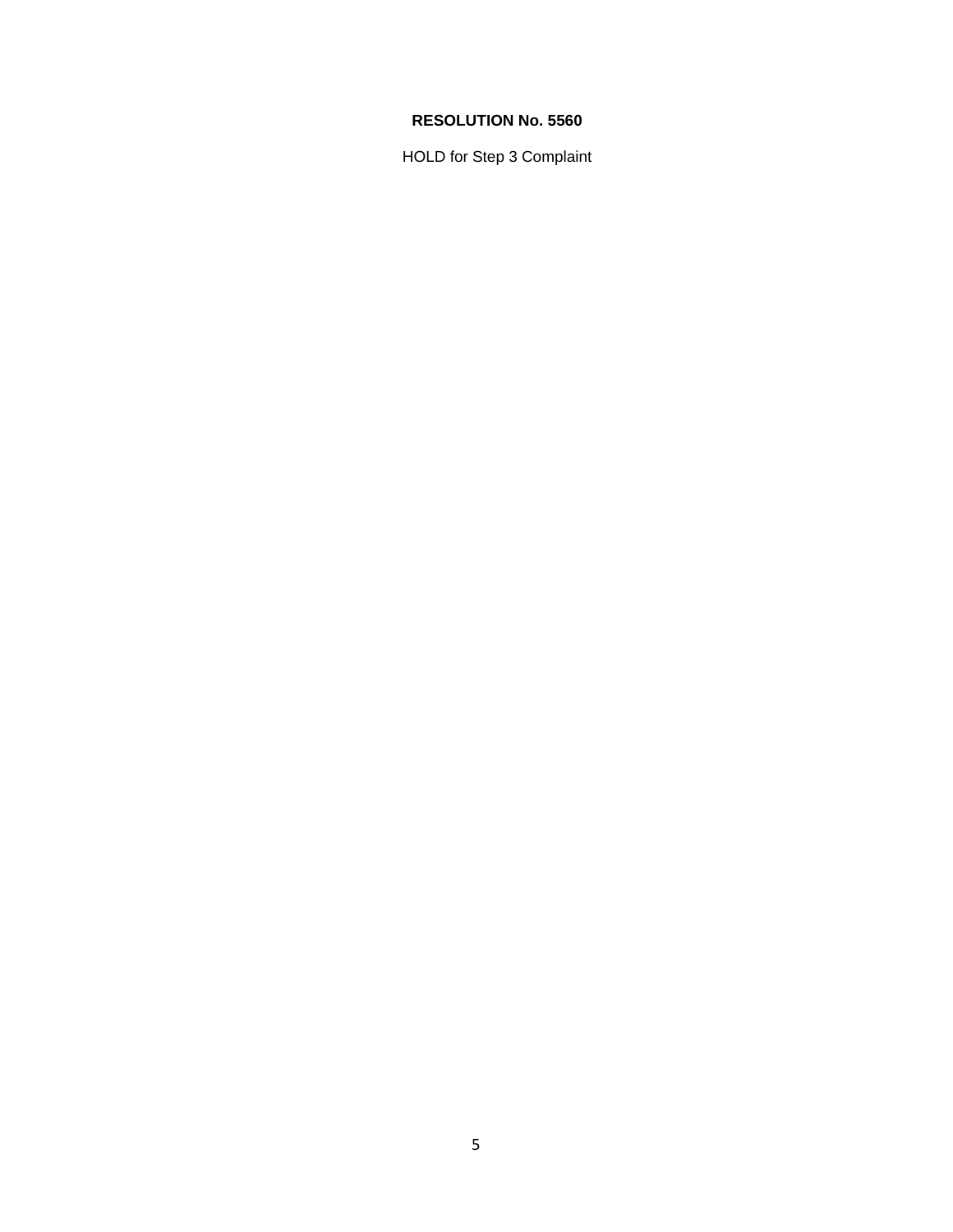HOLD for Step 3 Complaint